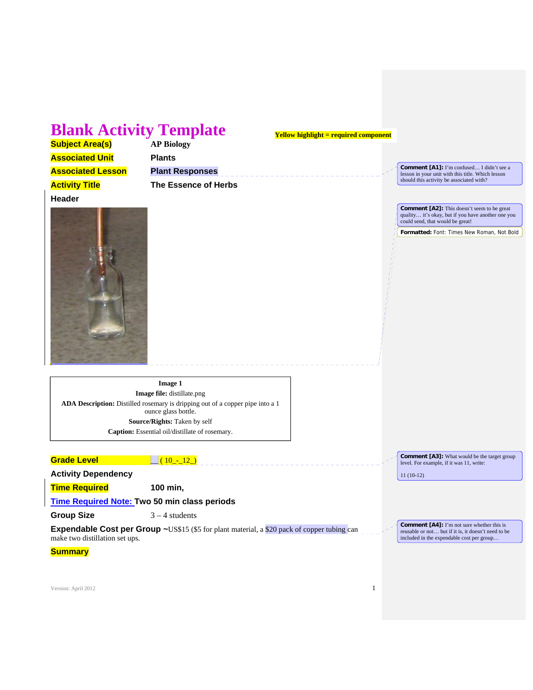# **Blank Activity Template**

**Yellow highlight = required component**

| <b>Subject Area(s)</b>   |
|--------------------------|
| <b>Associated Unit</b>   |
| <b>Associated Lesson</b> |
| A other Title            |

**Subject Area(s) AP Biology Plants Plant Responses Activity Title The Essence of Herbs** 

**Comment [A1]:** I'm confused... I didn't see a lesson in your unit with this title. Which lesson should this activity be associated with?



**Comment [A2]:** This doesn't seem to be great quality… it's okay, but if you have another one you could send, that would be great!

**Formatted:** Font: Times New Roman, Not Bold

**Image 1 Image file:** distillate.png **ADA Description:** Distilled rosemary is dripping out of a copper pipe into a 1 ounce glass bottle. **Source/Rights:** Taken by self **Caption:** Essential oil/distillate of rosemary.

| <b>Grade Level</b>         | $10 - 12$ )                                                                                         | <b>Comment</b> [A3]: What would be the target group<br>level. For example, if it was 11, write:          |
|----------------------------|-----------------------------------------------------------------------------------------------------|----------------------------------------------------------------------------------------------------------|
| <b>Activity Dependency</b> |                                                                                                     | $11(10-12)$                                                                                              |
| <b>Time Required</b>       | 100 min.                                                                                            |                                                                                                          |
|                            | Time Required Note: Two 50 min class periods                                                        |                                                                                                          |
| <b>Group Size</b>          | $3 - 4$ students                                                                                    |                                                                                                          |
|                            | <b>Expendable Cost per Group ~</b> US\$15 (\$5 for plant material, a \$20 pack of copper tubing can | <b>Comment [A4]:</b> I'm not sure whether this is<br>reusable or not but if it is, it doesn't need to be |

**Expendable Cost per Group ~US\$15 (\$5 for plant material, a \$20 pack of copper tubing can** make two distillation set ups. included in the expendable cost per group…

**Summary**

Version: April 2012 **1**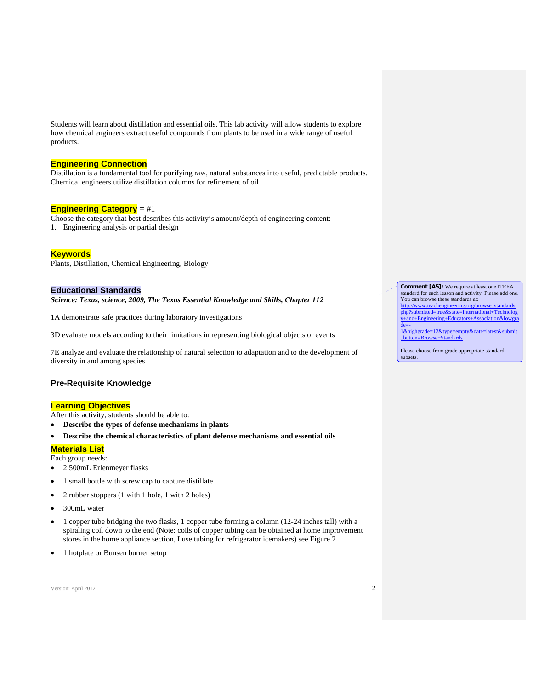Students will learn about distillation and essential oils. This lab activity will allow students to explore how chemical engineers extract useful compounds from plants to be used in a wide range of useful products.

#### **Engineering Connection**

Distillation is a fundamental tool for purifying raw, natural substances into useful, predictable products. Chemical engineers utilize distillation columns for refinement of oil

#### **Engineering Category** = #1

Choose the category that best describes this activity's amount/depth of engineering content: 1. Engineering analysis or partial design

#### **Keywords**

Plants, Distillation, Chemical Engineering, Biology

#### **Educational Standards**

*Science: Texas, science, 2009, The Texas Essential Knowledge and Skills, Chapter 112* 

1A demonstrate safe practices during laboratory investigations

3D evaluate models according to their limitations in representing biological objects or events

7E analyze and evaluate the relationship of natural selection to adaptation and to the development of diversity in and among species

#### **Pre-Requisite Knowledge**

#### **Learning Objectives**

After this activity, students should be able to:

- **Describe the types of defense mechanisms in plants**
- **Describe the chemical characteristics of plant defense mechanisms and essential oils**

### **Materials List**

Each group needs:

- 2 500mL Erlenmeyer flasks
- 1 small bottle with screw cap to capture distillate
- 2 rubber stoppers (1 with 1 hole, 1 with 2 holes)
- 300mL water
- 1 copper tube bridging the two flasks, 1 copper tube forming a column (12-24 inches tall) with a spiraling coil down to the end (Note: coils of copper tubing can be obtained at home improvement stores in the home appliance section, I use tubing for refrigerator icemakers) see Figure 2
- 1 hotplate or Bunsen burner setup

Version: April 2012  $2^2$ 

**Comment [A5]:** We require at least one ITEEA standard for each lesson and activity. Please add one. You can browse these standards at: http://www.teachengineering.org/browse\_standards. php?submitted=true&state=International+Technolog y+and+Engineering+Educators+Association&lowgra de=-

1&highgrade=12&type=empty&date=latest&submit \_button=Browse+Standards

Please choose from grade appropriate standard subsets.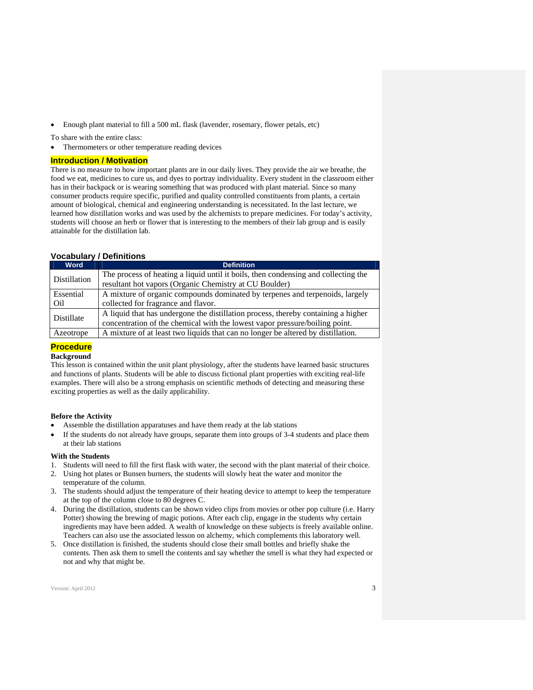Enough plant material to fill a 500 mL flask (lavender, rosemary, flower petals, etc)

To share with the entire class:

Thermometers or other temperature reading devices

#### **Introduction / Motivation**

There is no measure to how important plants are in our daily lives. They provide the air we breathe, the food we eat, medicines to cure us, and dyes to portray individuality. Every student in the classroom either has in their backpack or is wearing something that was produced with plant material. Since so many consumer products require specific, purified and quality controlled constituents from plants, a certain amount of biological, chemical and engineering understanding is necessitated. In the last lecture, we learned how distillation works and was used by the alchemists to prepare medicines. For today's activity, students will choose an herb or flower that is interesting to the members of their lab group and is easily attainable for the distillation lab.

# **Vocabulary / Definitions**

| <b>Word</b>  | <b>Definition</b>                                                                                                                                                |  |  |
|--------------|------------------------------------------------------------------------------------------------------------------------------------------------------------------|--|--|
| Distillation | The process of heating a liquid until it boils, then condensing and collecting the                                                                               |  |  |
|              | resultant hot vapors (Organic Chemistry at CU Boulder)                                                                                                           |  |  |
| Essential    | A mixture of organic compounds dominated by terpenes and terpenoids, largely                                                                                     |  |  |
| Oil          | collected for fragrance and flavor.                                                                                                                              |  |  |
| Distillate   | A liquid that has undergone the distillation process, thereby containing a higher<br>concentration of the chemical with the lowest vapor pressure/boiling point. |  |  |
| Azeotrope    | A mixture of at least two liquids that can no longer be altered by distillation.                                                                                 |  |  |

#### **Procedure Background**

This lesson is contained within the unit plant physiology, after the students have learned basic structures and functions of plants. Students will be able to discuss fictional plant properties with exciting real-life examples. There will also be a strong emphasis on scientific methods of detecting and measuring these exciting properties as well as the daily applicability.

#### **Before the Activity**

- Assemble the distillation apparatuses and have them ready at the lab stations
- If the students do not already have groups, separate them into groups of 3-4 students and place them at their lab stations

#### **With the Students**

- 1. Students will need to fill the first flask with water, the second with the plant material of their choice.
- 2. Using hot plates or Bunsen burners, the students will slowly heat the water and monitor the temperature of the column.
- 3. The students should adjust the temperature of their heating device to attempt to keep the temperature at the top of the column close to 80 degrees C.
- 4. During the distillation, students can be shown video clips from movies or other pop culture (i.e. Harry Potter) showing the brewing of magic potions. After each clip, engage in the students why certain ingredients may have been added. A wealth of knowledge on these subjects is freely available online. Teachers can also use the associated lesson on alchemy, which complements this laboratory well.
- 5. Once distillation is finished, the students should close their small bottles and briefly shake the contents. Then ask them to smell the contents and say whether the smell is what they had expected or not and why that might be.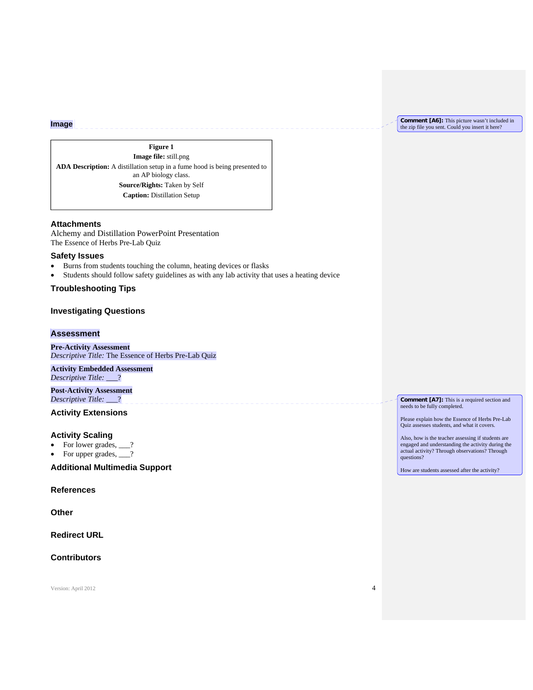**Comment [A6]:** This picture wasn't included in the zip file you sent. Could you insert it here?

# **Figure 1**

**Image file:** still.png **ADA Description:** A distillation setup in a fume hood is being presented to an AP biology class. **Source/Rights:** Taken by Self **Caption:** Distillation Setup

### **Attachments**

**Image**

Alchemy and Distillation PowerPoint Presentation The Essence of Herbs Pre-Lab Quiz

#### **Safety Issues**

- Burns from students touching the column, heating devices or flasks
- Students should follow safety guidelines as with any lab activity that uses a heating device

**Troubleshooting Tips** 

# **Investigating Questions**

#### **Assessment**

**Pre-Activity Assessment**  *Descriptive Title:* The Essence of Herbs Pre-Lab Quiz

**Activity Embedded Assessment**  *Descriptive Title:* \_\_\_?

**Post-Activity Assessment**  *Descriptive Title:* \_\_\_?

# **Activity Extensions**

#### **Activity Scaling**

- For lower grades, \_\_\_?
- For upper grades,  $\_\$ ?

**Additional Multimedia Support** 

#### **References**

**Other** 

**Redirect URL** 

**Contributors** 

Version: April 2012 4

**Comment [A7]:** This is a required section and needs to be fully completed.

Please explain how the Essence of Herbs Pre-Lab Quiz assesses students, and what it covers.

Also, how is the teacher assessing if students are engaged and understanding the activity during the actual activity? Through observations? Through questions?

How are students assessed after the activity?